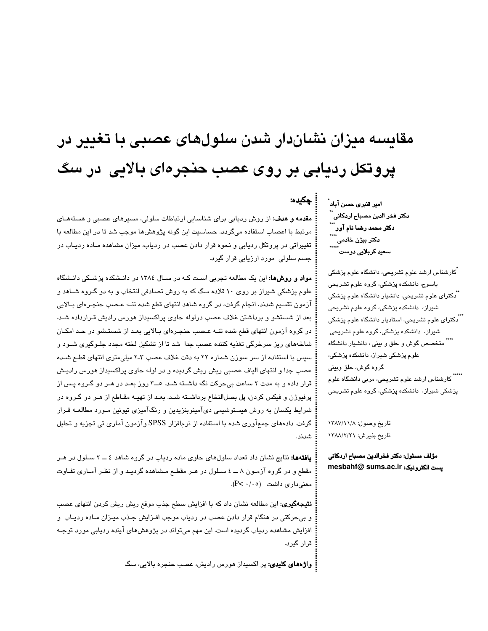# مقایسه میزان نشاندار شدن سلولهای عصبی با تغییر در پروتکل ردیابی بر روی عصب حنجرهای بالایی در سگ

مقدمه و هدف: از روش ردیابی برای شناسایی ارتباطات سلولی، مسیرهای عصبی و هستههای مرتبط با اعصاب استفاده میگردد. حساسیت این گونه پژوهشها موجب شد تا در این مطالعه با <mark>تغییراتی در پروتکل ردیابی و نحوه قرار دادن عصب در ردیاب، میزان مشاهده مـاده ردیـاب در</mark> جسم سلولی مورد ارزیابی قرار گیرد.

مواد و روشها: این یک مطالعه تجربی است کـه در سـال ١٣٨٤ در دانـشکده پزشـکی دانـشگاه علوم پزشکی شیراز بر روی ۱۰ قلاده سگ که به روش تصادفی انتخاب و به دو گـروه شــاهد و آزمون تقسیم شدند، انجام گرفت، در گروه شاهد انتهای قطع شده تنـه عـصب حنجـرهای بـالایی بعد از شستشو و برداشتن غلاف عصب درلوله حاوی پراکسیداز هورس رادیش قـرارداده شـد. در گروه آزمون انتهای قطع شده تنـه عـصب حنجـرهای بـالایی بعـد از شستـشو در حـد امکـان شاخههای ریز سرخرگی تغذیه کننده عصب جدا ً شد تا از تشکیل لخته مجدد جلـوگیری شـود و سپس با استفاده از سر سوزن شماره ۲۲ به دقت غلاف عصب ۳ـ۲ میلی،متری انتهای قطـم شـده عصب جدا و انتهای الیاف عصبی ریش ریش گردیده و در لوله حاوی پراکسیداز هورس رادیـش قرار داده و به مدت ۲ ساعت بیِحرکت نگه داشــنه شــد. ٥ـــ۳ روز بعـد در هـر دو گـروه پـس از پرفیوژن و فیکس کردن، پل بصلالنخاع برداشته شد. بعـد از تهیـه مقـاطع از هـر دو گـروه در شرایط یکسان به روش هیستوشیمی دیآمینوبنزیدین و رنگآمیزی تیونین مـورد مطالعــه قـرار گرفت. دادههای جمعآوری شده با استفاده از نرمافزار SPSS وآزمون آماری تی تجزیه و تحلیل شدند.

**یافتهها:** نتایج نشان داد تعداد سلولهای حاوی ماده ردیاب در گروه شاهد ٤ ـــ ۲ سـلول در هـر مقطع و در گروه آزمـون ۸ ـــ ٤ سـلول در هـر مقطـع مـشاهده گرديـد و از نظـر آمـاري تفـاوت معنی داری داشت (P< ۰/۰۵).

**نتیجهگیری:** این مطالعه نشان داد که با افزایش سطح جذب موقع ریش ریش کردن انتهای عصب و بیحرکتی در هنگام قرار دادن عصب در ردیاب موجب افـزایش جـذب میـزان مـاده ردیـاب و افزایش مشاهده ردیاب گردیده است. این مهم میتواند در پژوهشهای آینده ردیابی مورد توجـه قرار گیرد.

**واژههای کلیدی:** پر اکسیداز هورس رادیش، عصب حنجره بالایی، سگ

امیر قنبری حسن آباد ٰ دكتر فخر الدين مصباح اردكاني ٌ ٌ<br>... ۔<br>دکتر محمد رضا نام آور۔۔۔۔<br>\*\*\*\* دکتر بیژن خادمی سعید کربلایی دوست ٰ

چکیده:

۔<br>کارشناس ارشد علوم تشریحی، دانشگاه علوم پزشکی پاسوج، دانشکده پزشکی، گروه علوم تشریحی م<br>آدکترا*ی* علوم تشریحی، دانشیار دانشگاه علوم پزشکی شیراز، دانشکده پزشکی، گروه علوم تشریحی <sup>"</sup>ٌدکترای علوم تشریحی، استادیار دانشگاه علوم پزشکی شیراز، دانشکده پزشکی، گروه علوم تشریحی ...<br>" متخصص گوش و حلق و بین*ی* ، دانشیار دانشگاه علوم پزشکی شیراز، دانشکده پزشکی، گروہ گوش، حلق وبینی ۔۔۔۔۔<br>'' کارشناس ارشد علوم تشریحی، مربی دانشگاہ علوم پزشکی شیراز، دانشکده پزشکی، گروه علوم تشریحی

تاريخ وصول: ١٣٨٧/١١/٨ تاريخ پذيرش: ١٣٨٨/٢/٢١

مؤلف مسئول: دكتر فخرالدين مصباح اردكاني mesbahf@ sums.ac.ir يست الكترونيك: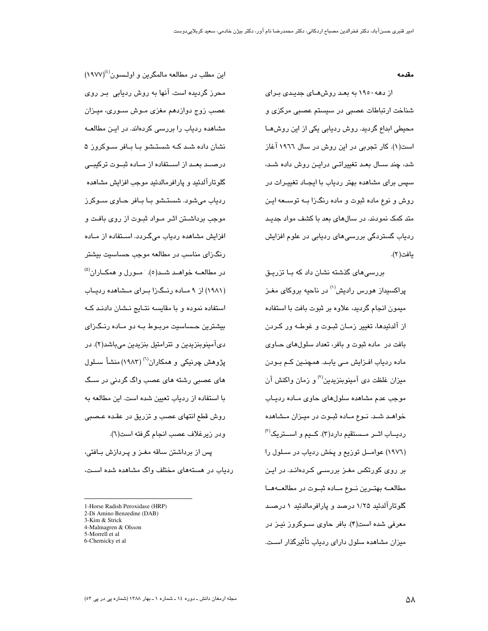#### مقدمه

از دهه ۱۹۵۰ به بعد روشهـای جدیـدی بـرای شناخت ارتباطات عصبی در سیستم عصبی مرکزی و محیطی ابداع گردید. روش ردیابی یکی از این روش۵ــا است(۱). کار تجربی در این روش در سال ۱۹۲۲ آغاز شد، چند ســال بعـد تغییراتـی درایـن روش داده شـد، سپس برای مشاهده بهتر ردیاب با ایجـاد تغییـرات در روش و نوع ماده ثبوت و ماده رنگزا بــه توســعه ايـن متد کمک نمودند. در سالهای بعد با کشف مواد جدیـد ردیاب گستردگی بررسی۵ای ردیابی در علوم افزایش يافت(٢).

بررسی های گذشته نشان داد که بـا تزریـق براکسندان هورس رادیش<sup>(۱)</sup> در ناحیه بروکای مغیز میمون انجام گردید، علاوه بر ثبوت بافت با استفاده از آلدئیدها، تغییر زمـان ثبـوت و غوطـه ور کـردن بافت در ماده ثبوت و بافر، تعداد سلولهای حــاوی مادہ ردیاب افـزایش مـی یابـد. همچنـین کـم بـودن میزان غلظت دی آمینوبنزیدین<sup>(۲)</sup> و زمان واکنش آن موجب عدم مشاهده سلولهای حاوی مـاده ردیـاب خواهـد شـد. نـوع مـاده ثبـوت در ميـزان مـشاهده ردیـــاب اثــر مــستقیم دارد(۳). کـــیم و اســـتریک<sup>(۳)</sup> (١٩٧٦) عوامــل توزيع و پخش ردياب در ســلول را بر روی کورتکس مغـز بررسـی کـردهانـد. در ایـن مطالعــه بهتــرين نــوع مــاده ثبــوت در مطالعــههــا گلوتارآلدئید ۱/۲۵ درصد و پارافرمالدئید ۱ درصـد معرفی شده است(۴). بافر حاوی ســوکروز نیـز در میزان مشاهده سلول دارای ردیاب تأثیرگذار اسـت.

این مطلب در مطالعه مالمگرین و اولـسون<sup>(٤)</sup>(١٩٧٧) محرز گردیده است. آنها به روش ردیابی بـر روی عصب زوج دوازدهم مغزی مـوش سـوری، میـزان مشاهده ردیاب را بررسی کردهاند. در ایـن مطالعــه نشان داده شـد کـه شستـشو بـا بـافر سـوکروز ۵ درصــد بعــد از اســتفاده از مــاده ثبــوت ترکیبــی گلوتارآلدئید و پارافرمالدئید موجب افزایش مشاهده ردیاب میشود. شستشو با بافر حاوی سوکرز موجب برداشتن اثر مواد ثبوت از روى بافت و افزایش مشاهده ردیاب میگردد. استفاده از مـاده رنگزای مناسب در مطالعه موجب حساسیت بیشتر در مطالعــه خواهــد شــد(٥). مــورل و همكــاران<sup>(٥)</sup> (۱۹۸۱) از ۹ میاده رنیگ زا سرای میشاهده ردساب استفاده نموده و با مقایسه نتـایج نـشان دادنـد کـه بیشترین حساسیت مربـوط بـه دو مـاده رنـگزای ديآمينوبنزيدين و تترامتيل بنزيدين ميباشد(۲). در پژوهش چرنیکی و همکاران<sup>(۱)</sup> (۱۹۸۳) منشأ سـلول های عصبی رشته های عصب واگ گردنی در سـگ با استفاده از ردیاب تعیین شده است. این مطالعه به روش قطع انتهای عصب و تزریق در عقده عـصبی ودر زيرغلاف عصب انجام گرفته است(٦). یس از برداشتن ساقه مغـز و پـردازش بـافتی، ردیاب در هستههای مختلف واگ مشاهده شده است،

- 1-Horse Radish Peroxidase (HRP)
- 2-Di Amino Benzedine (DAB) 3-Kim & Strick
- 
- 4-Malmagren & Olsson 5-Morrell et al
- 6-Chernicky et al

مجله ارمغان دانش ـ دوره ١٤ ـ شماره ١ ـ بهار ١٣٨٨ (شماره بي در بي ٥٣)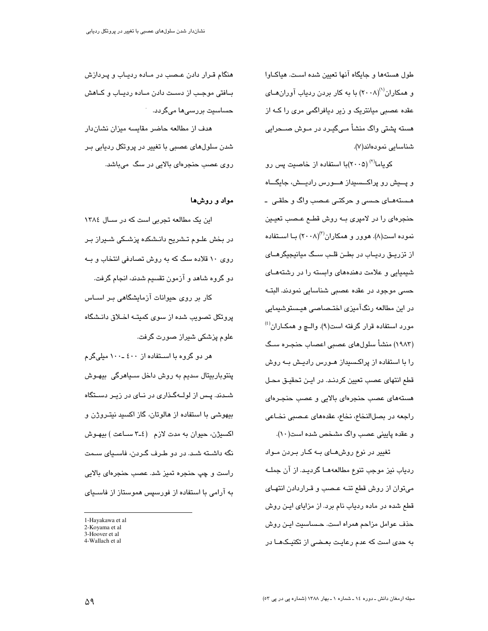طول هستهها و جايگاه آنها تعيين شده است. هياكـاوا و. همکاران<sup>(۱)</sup>(۲۰۰۸) با به کار بردن ردیاب آوران *ه*ـای عقده عصبی میانتریک و زیر دیافراگمی مری را کــه از هسته پشتی واگ منشأ مے گیـرد در مـوش صــحرابی شناسایی نمودهاند(۷).

کو یاما<sup>(۲)</sup> (۲۰۰۵)با استفاده از خاصیت پس رو و پـــیش رو پراکـــسیداز هـــورس رادیـــش، جایگـــاه هـستههـای حـسی و حرکتـی عـصب واگ و حلقـی ۔ حنجرهای را در لامپری بــه روش قطــع عــصب تعیــین نموده است(۸). هوور و همکاران<sup>(۳)</sup>(۲۰۰۸) بــا اســتفاده از تزریــق ردیــاب در بطــن قلــب ســگ میانیجیگرهــای شیمیایی و علامت دهندههای وابسته را در رشتههـای حسی موجود در عقدہ عصبی شناسایی نمودند. البتــه در این مطالعه رنگآمیزی اختـصـاصـی هیـستوشیمایی مورد استفاده قرار گرفته است(۹). والــچ و همکــاران<sup>(٤)</sup> (۱۹۸۳) منشأ سلولهای عصبی اعصاب حنجـره سـگ را با استفاده از پراکسبداز هـورس رادیـش بــه روش قطع انتهای عصب تعیین کردنـد. در ایـن تحقیـق محـل هستههای عصب حنجرهای بالایی و عصب حنجـرهای راجعه در بصلالنخاع، نخاع، عقدههای عـصبی نخـاعی و عقده پایینی عصب واگ مشخص شده است(١٠).

تغییر در نوع روشهـای بـه کـار بـردن مـواد ردیاب نیز موجب تنوع مطالعههـا گردیـد. از آن جملــه میقوان از روش قطع تنــه عـصب و قـراردادن انتهـای قطع شده در ماده ردیاب نام برد. از مزایای ایـن روش حذف عوامل مزاحم همراه است. حـساسیت ایـن روش به حدی است که عدم رعایت بعـضی از تکنیـکـهــا در

هنگام قـرار دادن عـصب در مـاده ردیـاب و پـردازش بـافتی موجـب از دسـت دادن مـاده ردیـاب و کـاهش حساسیت بررس*ی*ها میگردد. هدف از مطالعه حاضر مقایسه میزان نشان دار شدن سلولهای عصبی با تغییر در پروتکل ردیابی بـر

روی عصب حنجرهای بالایی در سگ میباشد.

# مواد و روشها

این یک مطالعه تجربی است که در سال ١٣٨٤ در بخش علـوم تـشريح دانـشكده پزشـكي شـيراز بـر روی ۱۰ قلاده سگ که به روش تصادفی انتخاب و بـه دو گروه شاهد و آزمون تقسیم شدند، انجام گرفت. کار بر روی حیوانات آزمایشگاهی بـر اســاس پروتکل تصویب شده از سوی کمیتـه اخـلاق دانـشگاه علوم پزشکی شیراز صورت گرفت.

هر دو گروه با اسـتفاده از ٤٠٠ ـ١٠٠ ميلي گرم پنتوباربیتال سدیم به روش داخل سـیاهرگی بیهـوش شــدند. پــس از لولــهگــذاری در نــای در زیــر دســتگاه بيهوشي با استفاده از هالوتان، گاز اکسيد نيتـروژن و اکسیژن، حیوان به مدت لازم (٤ـ٣ سـاعت) بیهوش نگه داشـته شـد. در دو طـرف گـردن، فاسـياي سـمت راست و چپ حنجره تمیز شد. عصب حنجرهای بالایی به آرامی با استفاده از فورسپس هموستاز از فاسـیای

<sup>1-</sup>Havakawa et al

<sup>2-</sup>Koyama et al 3-Hoover et al

<sup>4-</sup>Wallach et al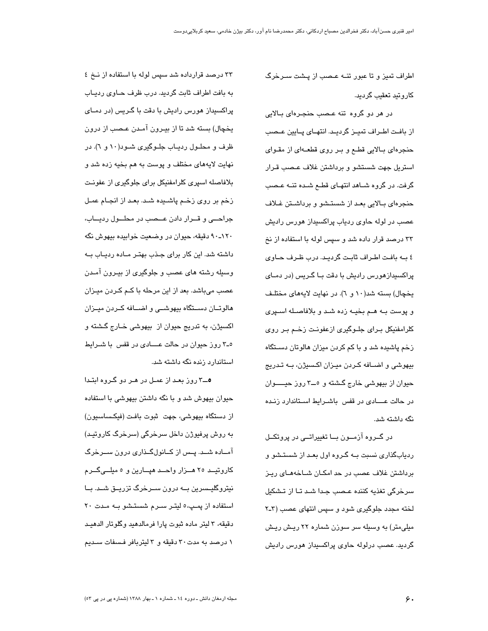اطراف تمیز و تا عبور تنــه عـصب از پــشت ســرخرگ كاروتيد تعقيب گرديد.

در هر دو گروه تنه عـصب حنجـرهای بـالایی از بافت اطراف تميـز گرديـد. انتهـاى پـايين عـصب حنجرهای بالایی قطع و بر روی قطعهای از مقـوای استریل جهت شستشو و برداشتن غلاف عصب قـرار گرفت. در گروه شـاهد انتهـای قطـم شـده تنـه عـصب حنجرهای بـالایی بعـد از شستـشو و برداشـتن غـلاف عصب در لوله حاوی ردیاب پراکسیداز هورس رادیش ۳۳ درصد قرار داده شد و سپس لوله با استفاده از نخ ٤ بــه بافت اطـراف ثابـت گرديـد. درب ظـرف حــاوى پراکسیدازهورس رادیش با دقت بـا گـریس (در دمـای يخچال) بسته شد(١٠ و ٦). در نهايت لايههاي مختلف و پوست به هـم بخيـه زده شـد و بلافاصـله اسـپرى كلرامفنيكل براى جلوگيرى ازعفونت زخم بر روى زخم پاشیده شد و با کم کردن میزان هالوتان دسـتگاه بیهوشی و اضـافه کـردن میـزان اکـسیژن، بـه تـدریج حيوان از بيهوشي خارج گشته و ٥ــ٣ روز حيــــوان در حالت عــــادی در قفس باشــرایط اســتاندارد زنــده نگه داشته شد.

در گــروه آزمــون بــا تغییراتــی در پروتکــل ردیابگذاری نسبت بـه گـروه اول بعـد از شستـشو و برداشتن غلاف عصب در حد امکـان شـاخههـای ریـز سرخرگی تغذیه کننده عـصب جـدا شـد تـا از تـشکیل لخته مجدد جلوگیری شود و سپس انتهای عصب (۳ـ۲ میلی متر) به وسیله سر سوزن شماره ۲۲ ریش ریش گردید. عصب درلوله حاوی پراکسیداز هورس رادیش

۳۳ درصد قرارداده شد سپس لوله با استفاده از نخ ٤ به بافت اطراف ثابت گردید. درب ظرف حـاوی ردیـاب پراکسیداز هورس رادیش با دقت با گـریس (در دمـای يخچال) بسته شد تا از بيـرون آمـدن عـصب از درون ظرف و محلـول ردیـاب جلـوگیری شـود(۱۰ و ٦). در نهايت لايههاي مختلف و پوست به هم بخيه زده شد و بلافاصله اسپری کلرامفنیکل برای جلوگیری از عفونت زخم بر روی زخم پاشیده شد. بعد از انجـام عمـل جراحــی و قــرار دادن عــصب در محلــول ردیــاب، ۱۲۰ـ۹۰ دقیقه، حیوان در وضعیت خوابیده بیهوش نگه داشته شد. این کار برای جـذب بهتـر مـاده ردیـاب بـه وسیله رشته های عصب و جلوگیری از بیـرون آمـدن عصب میباشد. بعد از این مرحله با کـم کـردن میـزان هالوتــان دســتگاه بیهوشــی و اضــافه کــردن میــزان اکسيژن، به تدريج حيوان از بيهوشي خـارج گشته و ۵ـ۳ روز حیوان در حالت عــــادی در قفس با شــرایط استاندارد زنده نگه داشته شد.

۵\_۳ روز بعـد از عمـل در هـر دو گـروه ابتـدا حیوان بیهوش شد و با نگه داشتن بیهوشی با استفاده از دستگاه بیهوشی، جهت ثبوت بافت (فیکساسیون) به روش پرفیوژن داخل سرخرگی (سرخرگ کاروتیـد) آمــاده شــد. پــس از کــانولگــذاری درون ســرخرگ کاروتیــد ۲۵ هــزار واحــد هپــارین و ۵ میلــیگــرم نیتروگلیــسرین بــه درون ســرخرگ تزریــق شــد. بــا استفاده از پمپ،٥ لیتـر سـرم شستـشو بـه مـدت ٢٠ دقيقه، ٣ ليتر ماده ثبوت پارا فرمالدهيد وگلوتار الدهيـد ۱ درصد به مدت۳۰ دقیقه و ۳ لیتربافر فسنفات سـدیم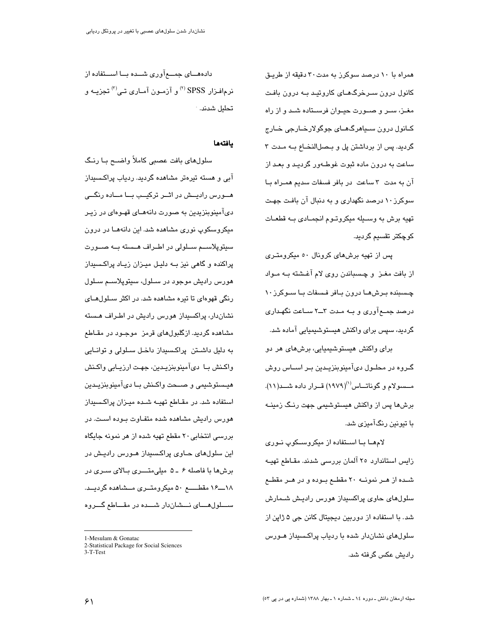همراه با ۱۰ درصد سوکرز به مدت ۳۰ دقیقه از طریـق کانول درون سـرخرگـهـای کاروتیـد بــه درون بافـت مغــز، ســر و صــورت حيــوان فرســتاده شــد و از راه کـانول درون سـڀاهرگـهــای جوگولارخــارجی خــارج گردید. پس از برداشتن پل و بـصل|لنخــاع بــه مـدت ۳ ساعت به درون ماده ثبوت غوطـهور گردیـد و بعـد از آن به مدت ۳ ساعت در بافر فسفات سدیم همـراه بـا سوکرز ۱۰ درصد نگهداری و به دنبال آن بافت جهت تهيه برش به وسـيله ميكروتـوم انجمـادى بـه قطعـات كوچكتر تقسيم گرديد.

یس از تهیه برشهای کرونال ٥٠ میکرومتری از بافت مغــز و چــسباندن روی لام آغــشته بــه مــواد چـسبنده بـرش۵ــا درون بــافر فـسفات بــا ســوکرز ۱۰ درصد جمــع آوری و بــه مــدت ۳ـــ۲ ســاعت نگهــداری گردید، سپس برای واکنش هیستوشیمیایی آماده شد.

برای واکنش هیستوشیمیایی، برشهای هر دو گـروه در محلـول دیآمینوبنزیـدین بـر اســاس روش مــسىولام و گوناتـــاس<sup>(۱)</sup>(۱۹۷۹) قــرار داده شـــد(۱۱). برشها پس از واکنش هیستوشیمی جهت رنـگ زمینـه با تیونی*ن ر*نگآمیز*ی* شد.

لامهـا بـا اسـتفاده از میکروســکوپ نـوری زایس استاندارد ۲۰ آلمان بررسی شدند. مقـاطع تهیـه شـده از هــر نمونــه ۲۰ مقطـع بــوده و در هــر مقطــع سلول،های حاوی پراکسیداز هورس رادیـش شــمارش شد. با استفاده از دوربین دیجیتال کانن جی ۵ ژاپن از سلولهای نشاندار شده با ردیاب پراکسیداز هـورس رادیش عکس گرفته شد.

دادههـــای جمـــعآوری شـــده بـــا اســـتفاده از نرمافـزار SPSS <sup>(۲)</sup> و آزمـون آمـاری تـی<sup>(۳)</sup> تجزیــه و تحليل شدند. <sup>.</sup>

# يافتهها

سلولهای بافت عصبی کاملاً واضــح بــا رنــگ آبی و هسته تیرهتر مشاهده گردید. ردیاب پراکـسیداز هــورس راديــش در اثــر تركيــب بــا مــاده رنگـــم، دیآمینوبنزیدین به صورت دانههـای قهـوهای در زیـر میکروسکوپ نوری مشاهده شد. این دانههــا در درون سيتوپلاســم ســلولى در اطــراف هــسته بــه صــورت پراکنده و گاهی نیز بــه دلیـل میــزان زیــاد پراکـسـیداز هورس راديش موجود در سيلول، سيتوپلاسيم سيلول رنگی قهوهای تا تیره مشاهده شد. در اکثر ســلولهــای نشان،دار، پراکسیداز هورس رادیش در اطـراف هـسته مشاهده گردید. ازگلبولهای قرمز موجـود در مقــاطع به دلیل داشــتن پراکـسیداز داخـل ســلولی و توانــایی واکـنش بـا دیآمینوبنزیـدین، جهـت ارزیــابی واکـنش هيــستوشيمي و صـــحت واكــنش بــا دىآمينوبنزيــدين استفاده شد. در مقـاطع تهيــه شــده ميــزان پراكـسـيداز هورس رادیش مشاهده شده متفـاوت بـوده اسـت. در بررسی انتخابی ۲۰ مقطع تهیه شده از هر نمونه جایگاه این سلولهای حـاوی پراکـسیداز هــورس رادیـش در برشها با فاصله ۶ ـ ۵ میلی متـــری بـالای سـری در ۱۸ـــ۱۶ مقطـــــــع ۵۰ میکرومتـــری مـــشاهده گردیـــد. ســـلول۱هــــای نــــشاندار شــــده در مقـــاطع گـــروه

 $\overline{a}$ 

<sup>1-</sup>Mesulam & Gonatac

<sup>2-</sup>Statistical Package for Social Sciences 3-T-Test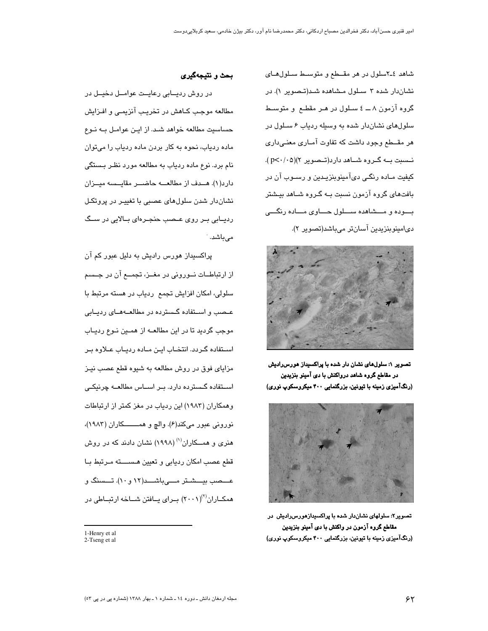شاهد ٤ـ٢سلول در هر مقــطع و متوسـط سـلول هـاى نشاندار شده ۳ سلول مشاهده شد(تصویر ۱). در گروه آزمون ۸ ـــ ٤ سـلول در هـر مقطـع و متوسـط سلولهای نشان دار شده به وسیله ردیاب ۶ سلول در هر مقــطع وجود داشت که تفاوت آمــاری معنــی،داری نــسبت بــه گــروه شـــاهد دارد(تــصویر ۲)(۲-۰/۰۵). کيفيت مــاده رنگــي ديآمينوبنزيـدين و رســوب آن در بافتهای گروه آزمون نسبت بـه گـروه شـاهد بیـشتر بسوده و مسشاهده سسلول حساوی مساده رنگسی دي|مينوينزيدين آسان;تر مے باشد(تصوير ٢).



تصویر ۱: سلولهای نشان دار شده با پراکسیداز هورس رادیش در مقاطع گروه شاهد درواکنش با دی آمینو بنزیدین (رنگآمیزی زمینه با تیونین، بزرگنمایی ۴۰۰ میکروسکوپ نوری)



تصویر۲: سلولهای نشاندار شده با پراکسیدازهورس رادیش در مقاطع گروه آزمون در واکنش با دی آمینو بنزیدین (رنگآمیزی زمینه با تیونین، بزرگنمایی ۴۰۰ میکروسکوپ نوری)

# بحث و نتیجهگیری

در روش رديــابى رعايــت عوامــل دخيــل در مطالعه موجب کـاهش در تخریـب آنزیمـی و افـزایش حساسیت مطالعه خواهد شـد. از ایـن عوامـل بـه نـوع ماده ردیاب، نحوه به کار بردن ماده ردیاب را میتوان نام برد. نوع ماده ردیاب به مطالعه مورد نظر بستگی دارد(۱). هــدف از مطالعــه حاضـــر مقايــسه ميــزان نشاندار شدن سلولهای عصبی با تغییـر در پروتکـل ردیــابی بــر روی عــصب حنجــرهای بــالایی در ســگ مى باشد.

پراکسیداز هورس رادیش به دلیل عبور کم آن از ارتباطــات نــورونی در مغــز، تجمــع آن در جــسم سلولی، امکان افزایش تجمع ردیاب در هسته مرتبط با عـصب و اسـتفاده گـسترده در مطالعــهمـای ردیــابی موجب گردید تا در این مطالعــه از همــین نــوع ردیــاب استقاده گردد. انتخاب این ماده ردیاب علاوه بر مزاياي فوق در روش مطالعه به شيوه قطع عصب نيـز اسـتفاده گـسترده دارد. بـر اسـاس مطالعــه چرنیکـی وهمکاران (۱۹۸۳) این ردیاب در مغز کمتر از ارتباطات نوروني عبور مي كند(۶). والج و همــــــكاران (١٩٨٣)، هنری و همـــکاران<sup>(۱)</sup> (۱۹۹۸) نشان دادند که در روش قطع عصب امكان رديابي وتعيين هسسته مرتبط با عـــصب بيـــشـتر مــــىباشـــد(١٢ و ١٠). تـــسنگ و همکــاران<sup>(۲)</sup>(۲۰۰۱) بــرای یــافتن شــاخه ارتبــاطی در

<sup>1-</sup>Henry et al 2-Tseng et al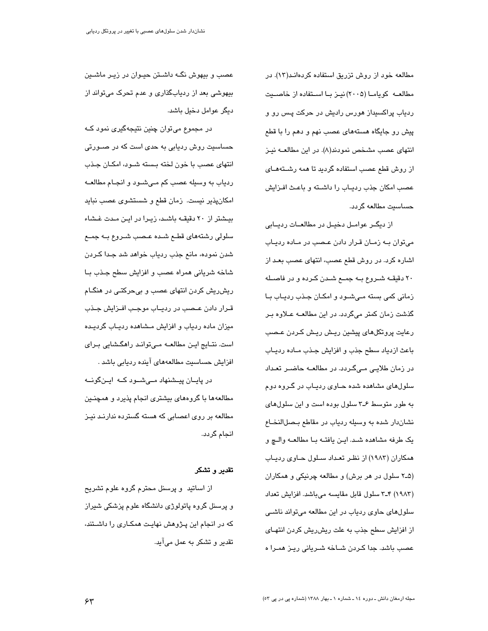مطالعه خود از روش تزریق استفاده کردهانـد(۱۳). در مطالعــه کویامــا (۲۰۰۵) نیــز بــا اســتفاده از خاصــیت ردیاب پراکسیداز هورس رادیش در حرکت پس رو و پیش رو جایگاه هستههای عصب نهم و دهم را با قطع انتهای عصب مشخص نمودند(۸). در این مطالعــه نیـز از روش قطع عصب استفاده گردید تا همه رشـتههـای عصب امکان جذب ردیـاب را داشـته و باعـث افـزایش حساسيت مطالعه گردد.

از دیگیر عوامیل دخییل در مطالعیات ردیبایی می توان بـه زمـان قـرار دادن عـصب در مـاده ردیـاب اشاره کرد. در روش قطع عصب، انتهای عصب بعـد از ۲۰ دقیقــه شــروع بــه جمــع شــدن کــرده و در فاصــله زمانی کمی بسته مےشـود و امکـان جـذب ردیـاب بـا گذشت زمان کمتر میگردد. در این مطالعــه عــلاوه بــر رعایت پروتکلهای پیشین ریش ریش کـردن عـصب باعث ازدياد سطح جذب و افزايش جـذب مـاده رديـاب در زمان طلایـی مـیگـردد. در مطالعــه حاضـر تعـداد سلولهای مشاهده شده حـاوی ردیـاب در گـروه دوم به طور متوسط ۶ـ۳ سلول بوده است و اين سلول های نشان دار شده به وسيله ردياب در مقاطع بصل النخاع يک طرفه مشاهده شد. اين يافته با مطالعه والع و همکاران (۱۹۸۳) از نظـر تعـداد سـلول حـاوی ردیـاب (۲-۵ سلول در هر برش) و مطالعه چرنیکی و همکاران (١٩٨٣) ٣-٣ سلول قابل مقايسه مى باشد. افزايش تعداد سلولهای حاوی ردیاب در این مطالعه میتواند ناشـی از افزایش سطح جذب به علت ریش ریش کردن انتهـای عصب باشد. جدا کـردن شـاخه شـریانی ریـز همـرا ه

عصب و بیهوش نگـه داشـتن حیـوان در زیـر ماشـین بیهوشی بعد از ردیابگذاری و عدم تحرک میتواند از دیگر عوامل دخیل پاشد.

در مجموع میتوان چنین نتیجهگیری نمود کـه حساسیت روش ردیابی به حدی است که در صــورتی انتهای عصب با خون لخته بسته شـود، امکـان جـذب ردیاب به وسیله عصب کم مـیشـود و انجـام مطالعــه امکانپذیر نیست. زمان قطع و شستشوی عصب نباید بیشتر از ۲۰ دقیقـه باشـد، زیـرا در ایـن مـدت غـشاء سلولی رشتههای قطع شده عـصب شـروع بـه جمـع شدن نموده، مانع جذب ردياب خواهد شد جـدا كـردن شاخه شرياني همراه عصب و افزايش سطح جذب با ریش ریش کردن انتهای عصب و بیحرکتـی در هنگـام قـرار دادن عـصب در ردیــاب موجـب افـزایش جـذب میزان ماده ردیاب و افزایش مـشاهده ردیـاب گردیـده است. نتــایج ایــن مطالعــه مــیتوانــد راهگـشایی بــرای افزایش حساسیت مطالعههای آینده ردیابی باشد .

در پایان پیشنهاد مےشود که اینگونه مطالعهها با گروههای بیشتری انجام پذیرد و همچنـین مطالعه بر روی اعصابی که هسته گسترده ندارنـد نیـز انجام گردد.

# تقدير و تشكر

از اساتید و پرسنل محترم گروه علوم تشریح و پرسنل گروه پاتولوژی دانشگاه علوم پزشکی شیراز که در انجام این پـژوهش نهایـت همکـاری را داشـتند، تقدیر و تشکر به عمل میآید.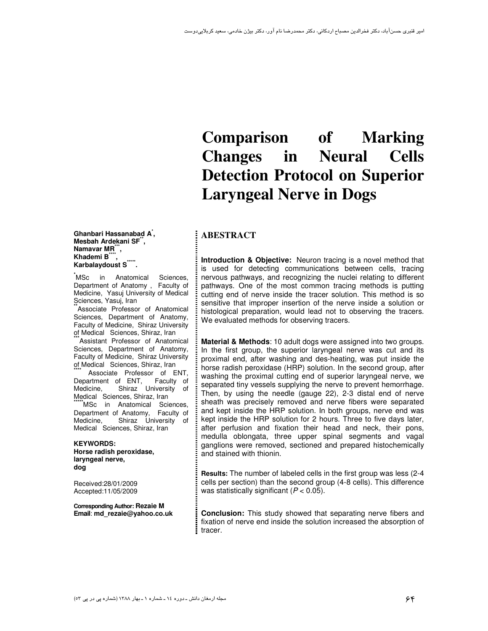# **Comparison of Marking Changes in Neural Cells Detection Protocol on Superior Laryngeal Nerve in Dogs**

# **ABESTRACT**

**Introduction & Objective:** Neuron tracing is a novel method that is used for detecting communications between cells, tracing nervous pathways, and recognizing the nuclei relating to different pathways. One of the most common tracing methods is putting cutting end of nerve inside the tracer solution. This method is so sensitive that improper insertion of the nerve inside a solution or histological preparation, would lead not to observing the tracers. We evaluated methods for observing tracers.

**Material & Methods**: 10 adult dogs were assigned into two groups. In the first group, the superior laryngeal nerve was cut and its proximal end, after washing and des-heating, was put inside the horse radish peroxidase (HRP) solution. In the second group, after washing the proximal cutting end of superior laryngeal nerve, we separated tiny vessels supplying the nerve to prevent hemorrhage. Then, by using the needle (gauge 22), 2-3 distal end of nerve sheath was precisely removed and nerve fibers were separated and kept inside the HRP solution. In both groups, nerve end was kept inside the HRP solution for 2 hours. Three to five days later, after perfusion and fixation their head and neck, their pons, medulla oblongata, three upper spinal segments and vagal ganglions were removed, sectioned and prepared histochemically and stained with thionin.

**Results:** The number of labeled cells in the first group was less (2-4 cells per section) than the second group (4-8 cells). This difference was statistically significant  $(P < 0.05)$ .

**Conclusion:** This study showed that separating nerve fibers and fixation of nerve end inside the solution increased the absorption of tracer.

**Ghanbari Hassanabad A\* , Mesbah Ardekani SF\*\* , Namavar MR\*\*\* , Khademi B\*\*\*\*** Khademi Bື້,<br>Karbalaydoust S<sup>\*\*\*\*</sup>.

**\***MSc in Anatomical Sciences, Department of Anatomy , Faculty of Medicine, Yasuj University of Medical Sciences, Yasuj, Iran

Associate Professor of Anatomical Sciences, Department of Anatomy, Faculty of Medicine, Shiraz University of Medical Sciences, Shiraz, Iran

**Assistant Professor of Anatomical** Sciences, Department of Anatomy, Faculty of Medicine, Shiraz University of Medical Sciences, Shiraz, Iran

Associate Professor of ENT,<br>artment of ENT, Faculty of Department of ENT,<br>Medicine. Shiraz l Shiraz University of Medical Sciences, Shiraz, Iran

**MSc** in Anatomical Sciences, Department of Anatomy, Faculty of Medicine, Shiraz University of Medical Sciences, Shiraz, Iran

 **KEYWORDS: Horse radish peroxidase, laryngeal nerve, dog**

Received:28/01/2009 Accepted:11/05/2009

**Corresponding Author: Rezaie M Email**: **md\_rezaie@yahoo.co.uk**